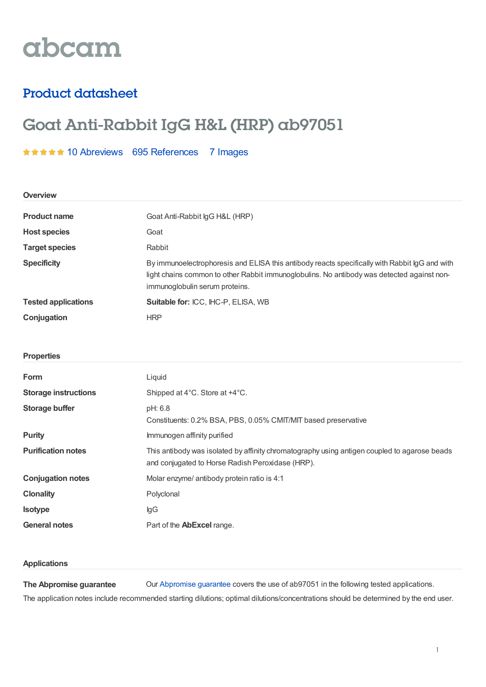# abcam

### Product datasheet

## Goat Anti-Rabbit IgG H&L (HRP) ab97051

#### \*\*\*\*\* 10 [Abreviews](https://www.abcam.com/goat-rabbit-igg-hl-hrp-ab97051.html?productWallTab=Abreviews) 695 [References](https://www.abcam.com/goat-rabbit-igg-hl-hrp-ab97051.html#description_references) 7 Images

| <b>Overview</b>             |                                                                                                                                                                                                                               |  |
|-----------------------------|-------------------------------------------------------------------------------------------------------------------------------------------------------------------------------------------------------------------------------|--|
| <b>Product name</b>         | Goat Anti-Rabbit IgG H&L (HRP)                                                                                                                                                                                                |  |
| <b>Host species</b>         | Goat                                                                                                                                                                                                                          |  |
| <b>Target species</b>       | Rabbit                                                                                                                                                                                                                        |  |
| <b>Specificity</b>          | By immunoelectrophoresis and ELISA this antibody reacts specifically with Rabbit IgG and with<br>light chains common to other Rabbit immunoglobulins. No antibody was detected against non-<br>immunoglobulin serum proteins. |  |
| <b>Tested applications</b>  | Suitable for: ICC, IHC-P, ELISA, WB                                                                                                                                                                                           |  |
| Conjugation                 | <b>HRP</b>                                                                                                                                                                                                                    |  |
|                             |                                                                                                                                                                                                                               |  |
| <b>Properties</b>           |                                                                                                                                                                                                                               |  |
| Form                        | Liquid                                                                                                                                                                                                                        |  |
| <b>Storage instructions</b> | Shipped at 4°C. Store at +4°C.                                                                                                                                                                                                |  |
| <b>Storage buffer</b>       | pH: 6.8<br>Constituents: 0.2% BSA, PBS, 0.05% CMIT/MIT based preservative                                                                                                                                                     |  |
| <b>Purity</b>               | Immunogen affinity purified                                                                                                                                                                                                   |  |
| <b>Purification notes</b>   | This antibody was isolated by affinity chromatography using antigen coupled to agarose beads<br>and conjugated to Horse Radish Peroxidase (HRP).                                                                              |  |
| <b>Conjugation notes</b>    | Molar enzyme/ antibody protein ratio is 4:1                                                                                                                                                                                   |  |
| <b>Clonality</b>            | Polyclonal                                                                                                                                                                                                                    |  |
| Isotype                     | $\lg G$                                                                                                                                                                                                                       |  |
| <b>General notes</b>        | Part of the AbExcel range.                                                                                                                                                                                                    |  |

#### **Applications**

**The Abpromise guarantee** Our [Abpromise](https://www.abcam.com/abpromise) guarantee covers the use of ab97051 in the following tested applications. The application notes include recommended starting dilutions; optimal dilutions/concentrations should be determined by the end user.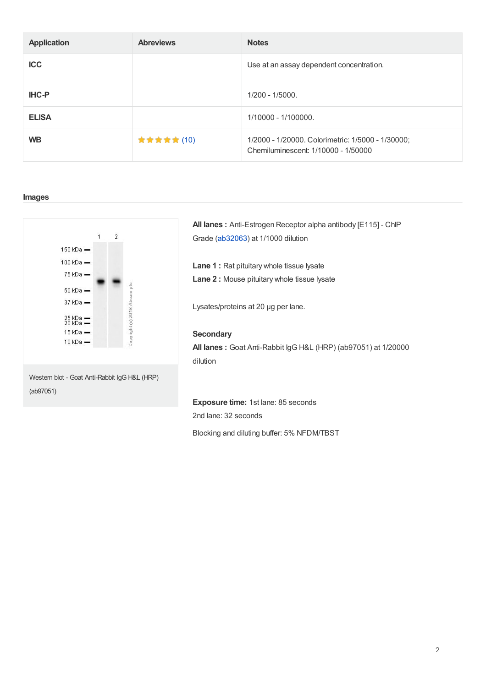| <b>Application</b> | <b>Abreviews</b> | <b>Notes</b>                                                                             |
|--------------------|------------------|------------------------------------------------------------------------------------------|
| <b>ICC</b>         |                  | Use at an assay dependent concentration.                                                 |
| <b>IHC-P</b>       |                  | $1/200 - 1/5000$ .                                                                       |
| <b>ELISA</b>       |                  | 1/10000 - 1/100000.                                                                      |
| <b>WB</b>          | ★ ★ ★ ★ ★ (10)   | 1/2000 - 1/20000. Colorimetric: 1/5000 - 1/30000;<br>Chemiluminescent: 1/10000 - 1/50000 |

#### **Images**



**All lanes :** Anti-Estrogen Receptor alpha antibody [E115] - ChIP Grade [\(ab32063](https://www.abcam.com/ab32063.html)) at 1/1000 dilution

**Lane 1 :** Rat pituitary whole tissue lysate **Lane 2 :** Mouse pituitary whole tissue lysate

Lysates/proteins at 20 µg per lane.

#### **Secondary**

**All lanes :** Goat Anti-Rabbit IgG H&L (HRP) (ab97051) at 1/20000 dilution

**Exposure time:** 1st lane: 85 seconds 2nd lane: 32 seconds

Blocking and diluting buffer: 5% NFDM/TBST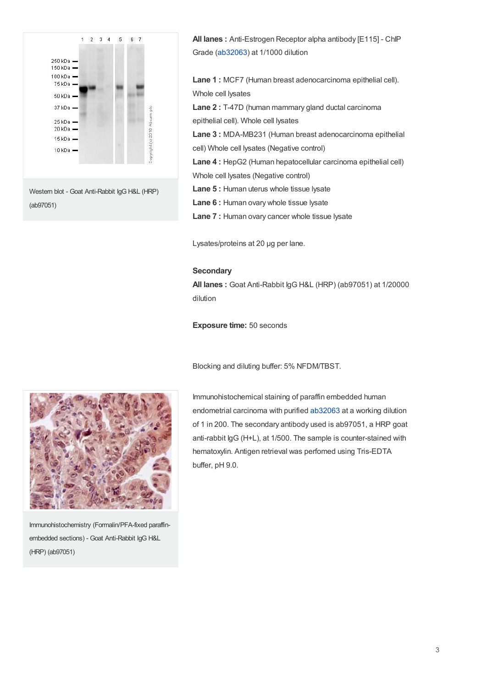

**All lanes :** Anti-Estrogen Receptor alpha antibody [E115] - ChIP Grade [\(ab32063](https://www.abcam.com/ab32063.html)) at 1/1000 dilution

**Lane 1 :** MCF7 (Human breast adenocarcinoma epithelial cell). Whole cell lysates

**Lane 2 :** T-47D (human mammary gland ductal carcinoma epithelial cell). Whole cell lysates

**Lane 3 :** MDA-MB231 (Human breast adenocarcinoma epithelial cell) Whole cell lysates (Negative control)

**Lane 4 :** HepG2 (Human hepatocellular carcinoma epithelial cell) Whole cell lysates (Negative control)

**Lane 5 :** Human uterus whole tissue lysate

**Lane 6 :** Human ovary whole tissue lysate

**Lane 7 :** Human ovary cancer whole tissue lysate

Lysates/proteins at 20 µg per lane.

#### **Secondary**

**All lanes :** Goat Anti-Rabbit IgG H&L (HRP) (ab97051) at 1/20000 dilution

**Exposure time:** 50 seconds

Blocking and diluting buffer: 5% NFDM/TBST.



Immunohistochemistry (Formalin/PFA-fixed paraffinembedded sections) - Goat Anti-Rabbit IgG H&L (HRP) (ab97051)

Immunohistochemical staining of paraffin embedded human endometrial carcinoma with purified [ab32063](https://www.abcam.com/ab32063.html) at a working dilution of 1 in 200. The secondary antibody used is ab97051, a HRP goat anti-rabbit IgG (H+L), at 1/500. The sample is counter-stained with hematoxylin. Antigen retrieval was perfomed using Tris-EDTA buffer, pH 9.0.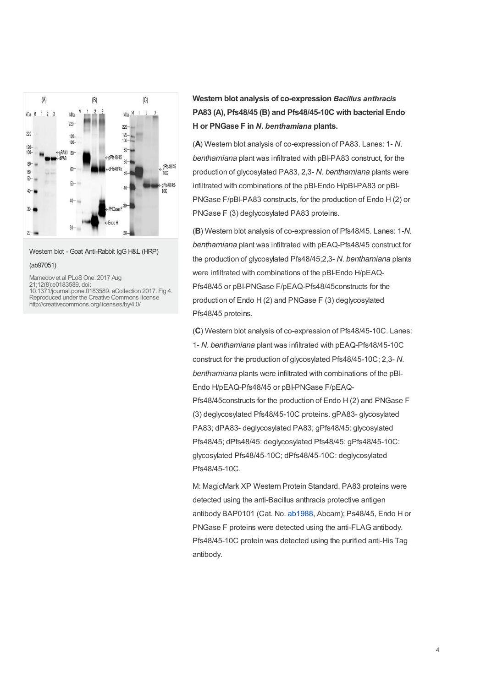

Western blot - Goat Anti-Rabbit IgG H&L (HRP)

#### (ab97051)

Mamedov et al PLoS One. 2017 Aug 21;12(8):e0183589. doi: 10.1371/journal.pone.0183589. eCollection 2017. Fig 4. Reproduced under the Creative Commons license http://creativecommons.org/licenses/by/4.0/

**Western blot analysis of co-expression** *Bacillus anthracis* **PA83 (A), Pfs48/45 (B) and Pfs48/45-10C with bacterial Endo H or PNGase F in** *N***.** *benthamiana* **plants.**

(**A**) Western blot analysis of co-expression of PA83. Lanes: 1- *N*. *benthamiana* plant was infiltrated with pBI-PA83 construct, for the production of glycosylated PA83, 2,3- *N*. *benthamiana* plants were infiltrated with combinations of the pBI-Endo H/pBI-PA83 or pBI-PNGase F/pBI-PA83 constructs, for the production of Endo H (2) or PNGase F (3) deglycosylated PA83 proteins.

(**B**) Western blot analysis of co-expression of Pfs48/45. Lanes: 1-*N*. *benthamiana* plant was infiltrated with pEAQ-Pfs48/45 construct for the production of glycosylated Pfs48/45;2,3- *N*. *benthamiana* plants were infiltrated with combinations of the pBI-Endo H/pEAQ-Pfs48/45 or pBI-PNGase F/pEAQ-Pfs48/45constructs for the production of Endo H (2) and PNGase F (3) deglycosylated Pfs48/45 proteins.

(**C**) Western blot analysis of co-expression of Pfs48/45-10C. Lanes: 1- *N*. *benthamiana* plant was infiltrated with pEAQ-Pfs48/45-10C construct for the production of glycosylated Pfs48/45-10C; 2,3- *N*. *benthamiana* plants were infiltrated with combinations of the pBI-Endo H/pEAQ-Pfs48/45 or pBI-PNGase F/pEAQ-Pfs48/45constructs for the production of Endo H (2) and PNGase F (3) deglycosylated Pfs48/45-10C proteins. gPA83- glycosylated PA83; dPA83- deglycosylated PA83; gPfs48/45: glycosylated Pfs48/45; dPfs48/45: deglycosylated Pfs48/45; gPfs48/45-10C: glycosylated Pfs48/45-10C; dPfs48/45-10C: deglycosylated Pfs48/45-10C.

M: MagicMark XP Western Protein Standard. PA83 proteins were detected using the anti-Bacillus anthracis protective antigen antibody BAP0101 (Cat. No. [ab1988](https://www.abcam.com/ab1988.html), Abcam); Ps48/45, Endo H or PNGase F proteins were detected using the anti-FLAG antibody. Pfs48/45-10C protein was detected using the purified anti-His Tag antibody.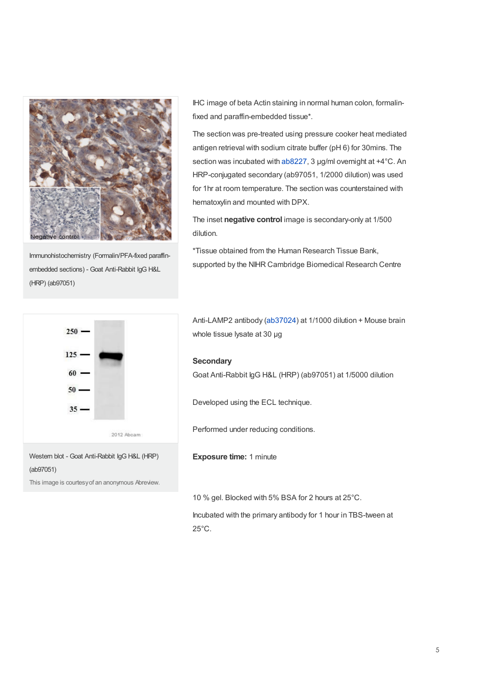

Immunohistochemistry (Formalin/PFA-fixed paraffinembedded sections) - Goat Anti-Rabbit IgG H&L (HRP) (ab97051)

IHC image of beta Actin staining in normal human colon, formalinfixed and paraffin-embedded tissue\*.

The section was pre-treated using pressure cooker heat mediated antigen retrieval with sodium citrate buffer (pH 6) for 30mins. The section was incubated with [ab8227](https://www.abcam.com/ab8227.html), 3 µg/ml overnight at +4°C. An HRP-conjugated secondary (ab97051, 1/2000 dilution) was used for 1hr at room temperature. The section was counterstained with hematoxylin and mounted with DPX.

The inset **negative control** image is secondary-only at 1/500 dilution.

\*Tissue obtained from the Human Research Tissue Bank, supported by the NIHR Cambridge Biomedical Research Centre



This image is courtesyof an anonymous Abreview.

Anti-LAMP2 antibody [\(ab37024](https://www.abcam.com/ab37024.html)) at 1/1000 dilution + Mouse brain whole tissue lysate at 30 µg

#### **Secondary**

Goat Anti-Rabbit IgG H&L (HRP) (ab97051) at 1/5000 dilution

Developed using the ECL technique.

Performed under reducing conditions.

**Exposure time:** 1 minute

10 % gel. Blocked with 5% BSA for 2 hours at 25°C.

Incubated with the primary antibody for 1 hour in TBS-tween at 25°C.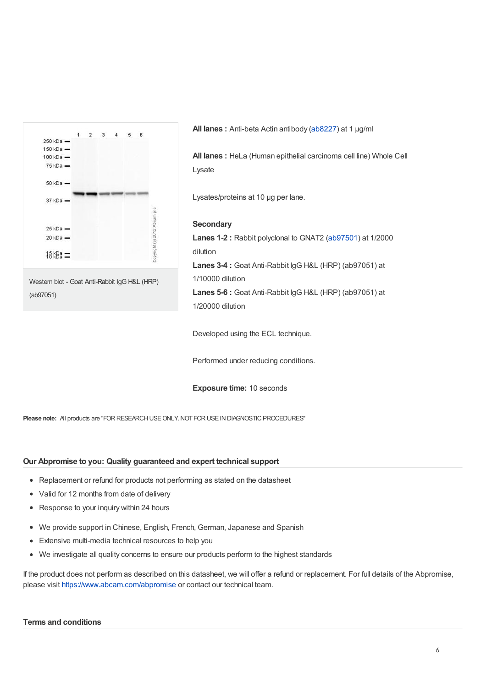

**All lanes :** Anti-beta Actin antibody [\(ab8227](https://www.abcam.com/ab8227.html)) at 1 µg/ml

**All lanes :** HeLa (Human epithelial carcinoma cell line) Whole Cell Lysate

Lysates/proteins at 10 µg per lane.

#### **Secondary**

**Lanes 1-2 :** Rabbit polyclonal to GNAT2 [\(ab97501](https://www.abcam.com/ab97501.html)) at 1/2000 dilution **Lanes 3-4 :** Goat Anti-Rabbit IgG H&L (HRP) (ab97051) at 1/10000 dilution **Lanes 5-6 :** Goat Anti-Rabbit IgG H&L (HRP) (ab97051) at

1/20000 dilution

Developed using the ECL technique.

Performed under reducing conditions.

**Exposure time:** 10 seconds

**Please note:** All products are "FOR RESEARCH USE ONLY. NOT FOR USE IN DIAGNOSTIC PROCEDURES"

#### **Our Abpromise to you: Quality guaranteed and expert technical support**

- Replacement or refund for products not performing as stated on the datasheet
- Valid for 12 months from date of delivery
- Response to your inquiry within 24 hours
- We provide support in Chinese, English, French, German, Japanese and Spanish
- Extensive multi-media technical resources to help you
- We investigate all quality concerns to ensure our products perform to the highest standards

If the product does not perform as described on this datasheet, we will offer a refund or replacement. For full details of the Abpromise, please visit <https://www.abcam.com/abpromise> or contact our technical team.

#### **Terms and conditions**